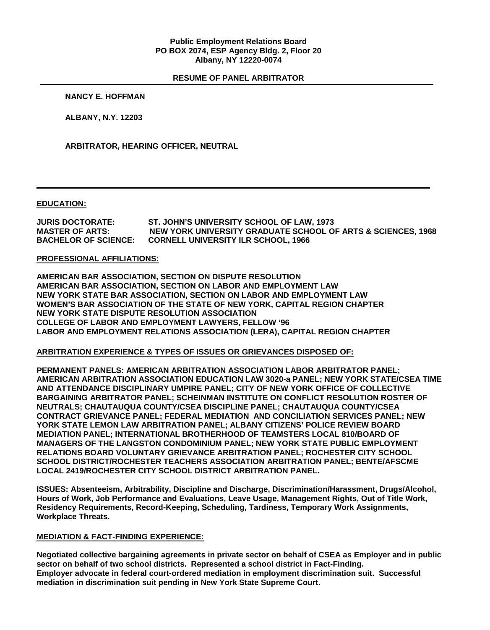### **Public Employment Relations Board PO BOX 2074, ESP Agency Bldg. 2, Floor 20 Albany, NY 12220-0074**

### **RESUME OF PANEL ARBITRATOR**

#### **NANCY E. HOFFMAN**

**ALBANY, N.Y. 12203**

**ARBITRATOR, HEARING OFFICER, NEUTRAL**

#### **EDUCATION:**

**JURIS DOCTORATE: ST. JOHN'S UNIVERSITY SCHOOL OF LAW, 1973 MASTER OF ARTS: NEW YORK UNIVERSITY GRADUATE SCHOOL OF ARTS & SCIENCES, 1968 CORNELL UNIVERSITY ILR SCHOOL, 1966** 

#### **PROFESSIONAL AFFILIATIONS:**

**AMERICAN BAR ASSOCIATION, SECTION ON DISPUTE RESOLUTION AMERICAN BAR ASSOCIATION, SECTION ON LABOR AND EMPLOYMENT LAW NEW YORK STATE BAR ASSOCIATION, SECTION ON LABOR AND EMPLOYMENT LAW WOMEN'S BAR ASSOCIATION OF THE STATE OF NEW YORK, CAPITAL REGION CHAPTER NEW YORK STATE DISPUTE RESOLUTION ASSOCIATION COLLEGE OF LABOR AND EMPLOYMENT LAWYERS, FELLOW '96 LABOR AND EMPLOYMENT RELATIONS ASSOCIATION (LERA), CAPITAL REGION CHAPTER**

### **ARBITRATION EXPERIENCE & TYPES OF ISSUES OR GRIEVANCES DISPOSED OF:**

**PERMANENT PANELS: AMERICAN ARBITRATION ASSOCIATION LABOR ARBITRATOR PANEL; AMERICAN ARBITRATION ASSOCIATION EDUCATION LAW 3020-a PANEL; NEW YORK STATE/CSEA TIME AND ATTENDANCE DISCIPLINARY UMPIRE PANEL; CITY OF NEW YORK OFFICE OF COLLECTIVE BARGAINING ARBITRATOR PANEL; SCHEINMAN INSTITUTE ON CONFLICT RESOLUTION ROSTER OF NEUTRALS; CHAUTAUQUA COUNTY/CSEA DISCIPLINE PANEL; CHAUTAUQUA COUNTY/CSEA CONTRACT GRIEVANCE PANEL; FEDERAL MEDIATION AND CONCILIATION SERVICES PANEL; NEW YORK STATE LEMON LAW ARBITRATION PANEL; ALBANY CITIZENS' POLICE REVIEW BOARD MEDIATION PANEL; INTERNATIONAL BROTHERHOOD OF TEAMSTERS LOCAL 810/BOARD OF MANAGERS OF THE LANGSTON CONDOMINIUM PANEL; NEW YORK STATE PUBLIC EMPLOYMENT RELATIONS BOARD VOLUNTARY GRIEVANCE ARBITRATION PANEL; ROCHESTER CITY SCHOOL SCHOOL DISTRICT/ROCHESTER TEACHERS ASSOCIATION ARBITRATION PANEL; BENTE/AFSCME LOCAL 2419/ROCHESTER CITY SCHOOL DISTRICT ARBITRATION PANEL.**

**ISSUES: Absenteeism, Arbitrability, Discipline and Discharge, Discrimination/Harassment, Drugs/Alcohol, Hours of Work, Job Performance and Evaluations, Leave Usage, Management Rights, Out of Title Work, Residency Requirements, Record-Keeping, Scheduling, Tardiness, Temporary Work Assignments, Workplace Threats.**

### **MEDIATION & FACT-FINDING EXPERIENCE:**

**Negotiated collective bargaining agreements in private sector on behalf of CSEA as Employer and in public sector on behalf of two school districts. Represented a school district in Fact-Finding. Employer advocate in federal court-ordered mediation in employment discrimination suit. Successful mediation in discrimination suit pending in New York State Supreme Court.**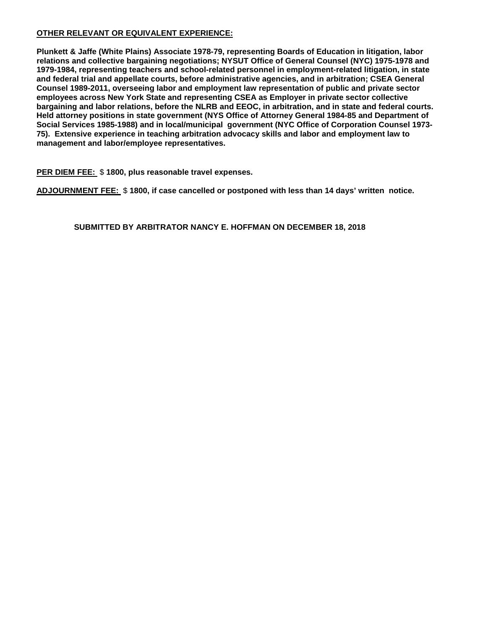# **OTHER RELEVANT OR EQUIVALENT EXPERIENCE:**

**Plunkett & Jaffe (White Plains) Associate 1978-79, representing Boards of Education in litigation, labor relations and collective bargaining negotiations; NYSUT Office of General Counsel (NYC) 1975-1978 and 1979-1984, representing teachers and school-related personnel in employment-related litigation, in state and federal trial and appellate courts, before administrative agencies, and in arbitration; CSEA General Counsel 1989-2011, overseeing labor and employment law representation of public and private sector employees across New York State and representing CSEA as Employer in private sector collective bargaining and labor relations, before the NLRB and EEOC, in arbitration, and in state and federal courts. Held attorney positions in state government (NYS Office of Attorney General 1984-85 and Department of Social Services 1985-1988) and in local/municipal government (NYC Office of Corporation Counsel 1973- 75). Extensive experience in teaching arbitration advocacy skills and labor and employment law to management and labor/employee representatives.** 

## **PER DIEM FEE:** \$ **1800, plus reasonable travel expenses.**

**ADJOURNMENT FEE:** \$ **1800, if case cancelled or postponed with less than 14 days' written notice.**

**SUBMITTED BY ARBITRATOR NANCY E. HOFFMAN ON DECEMBER 18, 2018**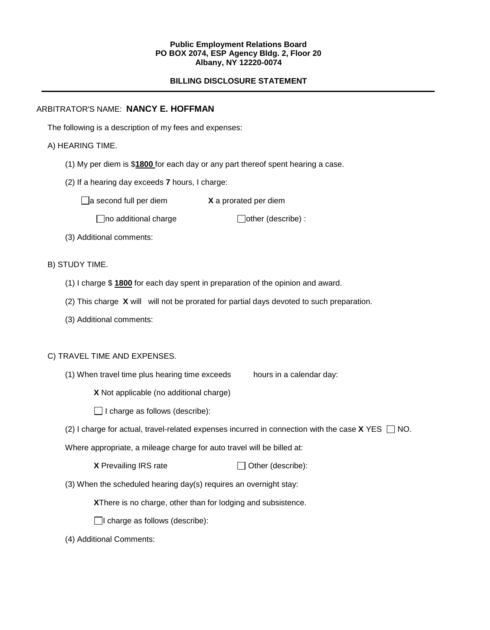#### **Public Employment Relations Board PO BOX 2074, ESP Agency Bldg. 2, Floor 20 Albany, NY 12220-0074**

## **BILLING DISCLOSURE STATEMENT**

## ARBITRATOR'S NAME: **NANCY E. HOFFMAN**

The following is a description of my fees and expenses:

## A) HEARING TIME.

- (1) My per diem is \$**1800** for each day or any part thereof spent hearing a case.
- (2) If a hearing day exceeds **7** hours, I charge:

□ a second full per diem **X** a prorated per diem

 $\Box$ no additional charge  $\Box$ other (describe) :

(3) Additional comments:

B) STUDY TIME.

- (1) I charge \$ **1800** for each day spent in preparation of the opinion and award.
- (2) This charge **X** will will not be prorated for partial days devoted to such preparation.
- (3) Additional comments:

### C) TRAVEL TIME AND EXPENSES.

(1) When travel time plus hearing time exceeds hours in a calendar day:

**X** Not applicable (no additional charge)

 $\Box$  I charge as follows (describe):

(2) I charge for actual, travel-related expenses incurred in connection with the case  $X$  YES  $\Box$  NO.

Where appropriate, a mileage charge for auto travel will be billed at:

| <b>X</b> Prevailing IRS rate | $\Box$ Other (describe): |
|------------------------------|--------------------------|
|------------------------------|--------------------------|

(3) When the scheduled hearing day(s) requires an overnight stay:

**X**There is no charge, other than for lodging and subsistence.

 $\Box$ I charge as follows (describe):

(4) Additional Comments: